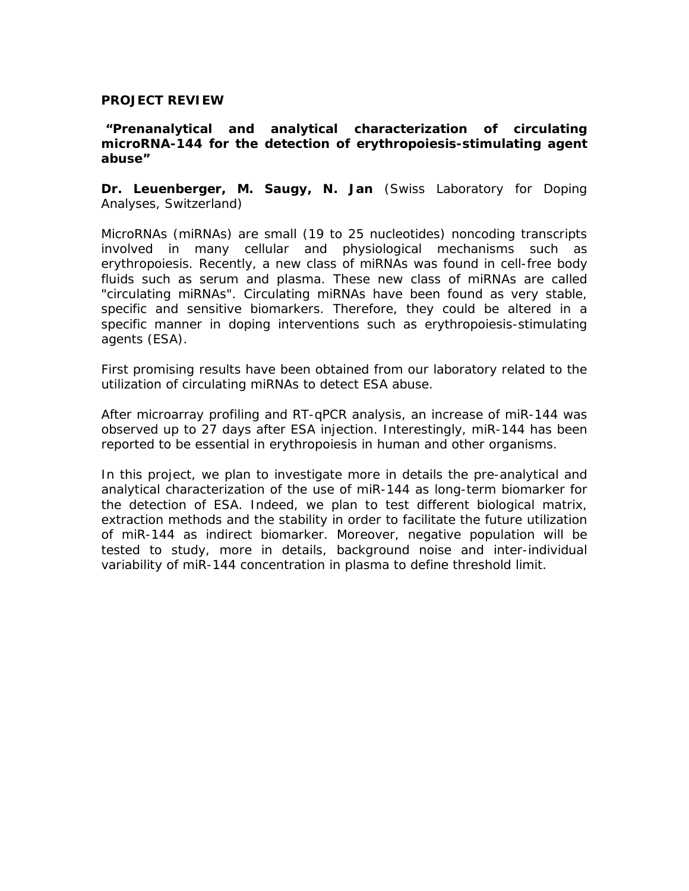## **PROJECT REVIEW**

## **"***Prenanalytical and analytical characterization of circulating microRNA-144 for the detection of erythropoiesis-stimulating agent abuse***"**

**Dr. Leuenberger, M. Saugy, N. Jan** (Swiss Laboratory for Doping Analyses, Switzerland)

MicroRNAs (miRNAs) are small (19 to 25 nucleotides) noncoding transcripts involved in many cellular and physiological mechanisms such as erythropoiesis. Recently, a new class of miRNAs was found in cell-free body fluids such as serum and plasma. These new class of miRNAs are called "circulating miRNAs". Circulating miRNAs have been found as very stable, specific and sensitive biomarkers. Therefore, they could be altered in a specific manner in doping interventions such as erythropoiesis-stimulating agents (ESA).

First promising results have been obtained from our laboratory related to the utilization of circulating miRNAs to detect ESA abuse.

After microarray profiling and RT-qPCR analysis, an increase of miR-144 was observed up to 27 days after ESA injection. Interestingly, miR-144 has been reported to be essential in erythropoiesis in human and other organisms.

In this project, we plan to investigate more in details the pre-analytical and analytical characterization of the use of miR-144 as long-term biomarker for the detection of ESA. Indeed, we plan to test different biological matrix, extraction methods and the stability in order to facilitate the future utilization of miR-144 as indirect biomarker. Moreover, negative population will be tested to study, more in details, background noise and inter-individual variability of miR-144 concentration in plasma to define threshold limit.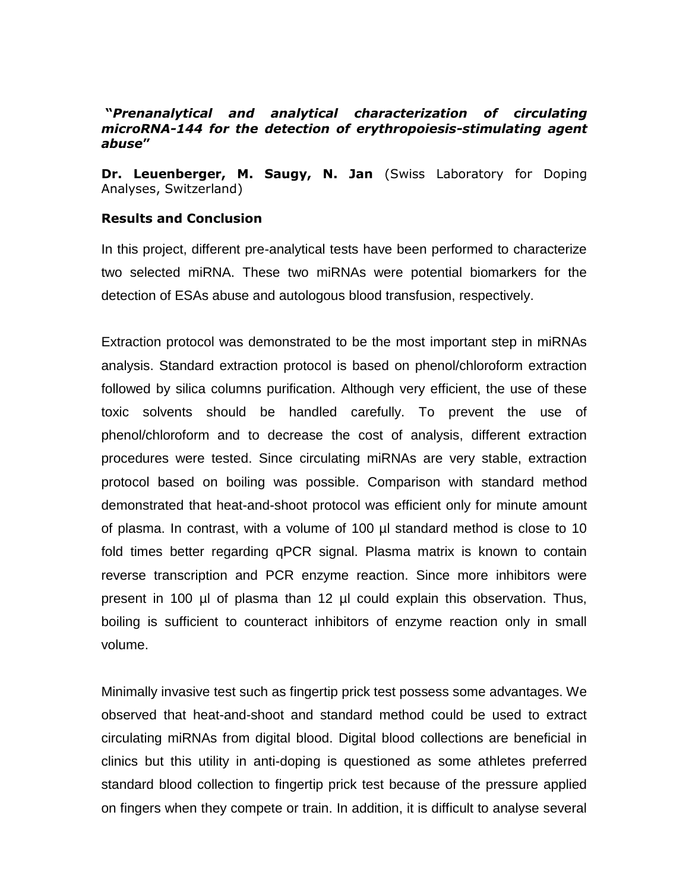## **"***Prenanalytical and analytical characterization of circulating microRNA-144 for the detection of erythropoiesis-stimulating agent abuse***"**

**Dr. Leuenberger, M. Saugy, N. Jan** (Swiss Laboratory for Doping Analyses, Switzerland)

## **Results and Conclusion**

In this project, different pre-analytical tests have been performed to characterize two selected miRNA. These two miRNAs were potential biomarkers for the detection of ESAs abuse and autologous blood transfusion, respectively.

Extraction protocol was demonstrated to be the most important step in miRNAs analysis. Standard extraction protocol is based on phenol/chloroform extraction followed by silica columns purification. Although very efficient, the use of these toxic solvents should be handled carefully. To prevent the use of phenol/chloroform and to decrease the cost of analysis, different extraction procedures were tested. Since circulating miRNAs are very stable, extraction protocol based on boiling was possible. Comparison with standard method demonstrated that heat-and-shoot protocol was efficient only for minute amount of plasma. In contrast, with a volume of 100 µl standard method is close to 10 fold times better regarding qPCR signal. Plasma matrix is known to contain reverse transcription and PCR enzyme reaction. Since more inhibitors were present in 100 µl of plasma than 12 µl could explain this observation. Thus, boiling is sufficient to counteract inhibitors of enzyme reaction only in small volume.

Minimally invasive test such as fingertip prick test possess some advantages. We observed that heat-and-shoot and standard method could be used to extract circulating miRNAs from digital blood. Digital blood collections are beneficial in clinics but this utility in anti-doping is questioned as some athletes preferred standard blood collection to fingertip prick test because of the pressure applied on fingers when they compete or train. In addition, it is difficult to analyse several